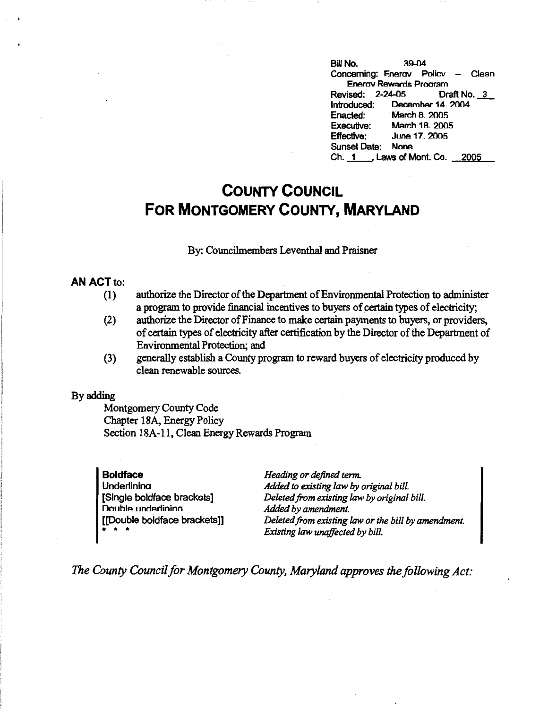BUI No. 39-04 Concerning: Enerav Policv - Clean Enerav Rewards Program<br>ised: 2-24-05 Draft No. 3 Revised: 2-24-05 Introduced: December 14. 2004 Enacted: March B. 2005 Executive: March 18. 2005<br>Effective: June 17, 2005 June 17, 2005 Sunset Date: None Ch. \_1\_, Laws of Mont. Co. 2005

## **COUNTY COUNCIL FOR MONTGOMERY COUNTY, MARYLAND**

## By: Councilmembers Leventhal and Praisner

## **AN ACT** to:

- (1) authorize the Director of the Department of Environmental Protection to administer a program to provide financial incentives to buyers of certain types of electricity;
- (2) authorize the Director of Finance to make certain payments to buyers, or providers, of certain types of electricity after certification by the Director of the Department of Environmental Protection; and
- (3) generally establish a County program to reward buyers of electricity produced by clean renewable sources.

## By adding

Montgomery County Code Chapter 18A, Energy Policy Section 18A-11, Clean Energy Rewards Program

**Boldface Underlinina** [Single boldface brackets] Double underlining [[Double boldface brackets]] \* \* \*

*Heading or defined term. Added to existing law by original bill. Deleted from existing law by original bill. Added by amendment. Deleted from existing law or the bill by amendment. Existing law unaffected by bill.* 

*The County Council for Montgomery County, Maryland approves the following Act:*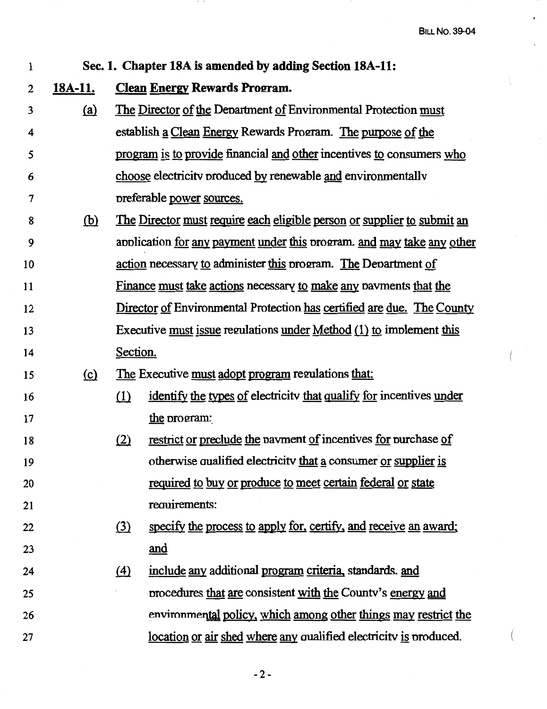$\lambda$ 

í,

| 1  | Sec. 1. Chapter 18A is amended by adding Section 18A-11: |                                                                                 |                                                                       |  |
|----|----------------------------------------------------------|---------------------------------------------------------------------------------|-----------------------------------------------------------------------|--|
| 2  | <u>18A-11.</u>                                           | <b>Clean Energy Rewards Program.</b>                                            |                                                                       |  |
| 3  | <u>(a)</u>                                               |                                                                                 | The Director of the Department of Environmental Protection must       |  |
| 4  |                                                          |                                                                                 | establish a Clean Energy Rewards Program. The purpose of the          |  |
| 5  |                                                          |                                                                                 | program is to provide financial and other incentives to consumers who |  |
| 6  |                                                          |                                                                                 | choose electricity produced by renewable and environmentally          |  |
| 7  |                                                          | preferable power sources.                                                       |                                                                       |  |
| 8  | <u>(b)</u>                                               | <u>The Director must require each eligible person or supplier to submit an</u>  |                                                                       |  |
| 9  |                                                          | application <u>for any payment under this</u> program, and may take any other   |                                                                       |  |
| 10 |                                                          | action necessary to administer this program. The Department of                  |                                                                       |  |
| 11 |                                                          | <u>Finance must take actions</u> necessary <u>to make any</u> payments that the |                                                                       |  |
| 12 |                                                          | Director of Environmental Protection has certified are due. The County          |                                                                       |  |
| 13 |                                                          |                                                                                 | Executive must issue regulations under Method (1) to implement this   |  |
| 14 |                                                          | Section.                                                                        |                                                                       |  |
| 15 | (c)                                                      | The Executive must adopt program regulations that:                              |                                                                       |  |
| 16 |                                                          | (1)                                                                             | identify the types of electricity that qualify for incentives under   |  |
| 17 |                                                          |                                                                                 | the program:                                                          |  |
| 18 |                                                          | <u>(2)</u>                                                                      | restrict or preclude the payment of incentives for purchase of        |  |
| 19 |                                                          |                                                                                 | otherwise qualified electricity that a consumer or supplier is        |  |
| 20 |                                                          |                                                                                 | required to buy or produce to meet certain federal or state           |  |
| 21 |                                                          |                                                                                 | requirements:                                                         |  |
| 22 |                                                          | <u>(3)</u>                                                                      | specify the process to apply for, certify, and receive an award;      |  |
| 23 |                                                          |                                                                                 | and                                                                   |  |
| 24 |                                                          | $\Delta$                                                                        | include any additional program criteria, standards. and               |  |
| 25 |                                                          |                                                                                 | procedures that are consistent with the County's energy and           |  |
| 26 |                                                          |                                                                                 | environmental policy, which among other things may restrict the       |  |
| 27 |                                                          |                                                                                 | location or air shed where any qualified electricity is produced.     |  |

 $-$ 

-2-